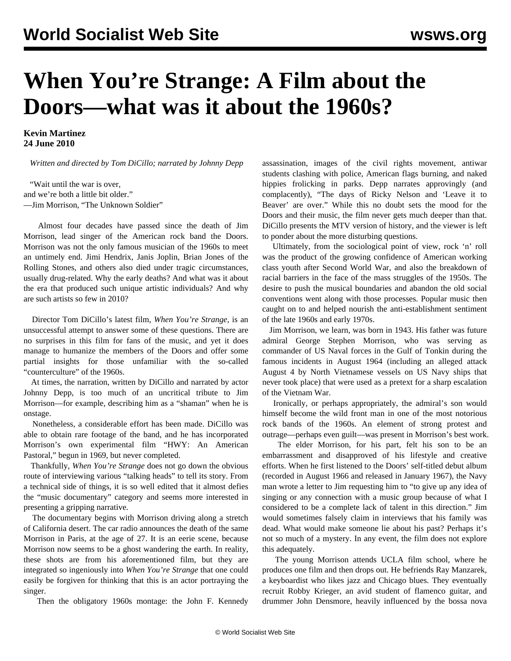## **When You're Strange: A Film about the Doors—what was it about the 1960s?**

**Kevin Martinez 24 June 2010**

*Written and directed by Tom DiCillo; narrated by Johnny Depp*

 "Wait until the war is over, and we're both a little bit older." —Jim Morrison, "The Unknown Soldier"

 Almost four decades have passed since the death of Jim Morrison, lead singer of the American rock band the Doors. Morrison was not the only famous musician of the 1960s to meet an untimely end. Jimi Hendrix, Janis Joplin, Brian Jones of the Rolling Stones, and others also died under tragic circumstances, usually drug-related. Why the early deaths? And what was it about the era that produced such unique artistic individuals? And why are such artists so few in 2010?

 Director Tom DiCillo's latest film, *When You're Strange*, is an unsuccessful attempt to answer some of these questions. There are no surprises in this film for fans of the music, and yet it does manage to humanize the members of the Doors and offer some partial insights for those unfamiliar with the so-called "counterculture" of the 1960s.

 At times, the narration, written by DiCillo and narrated by actor Johnny Depp, is too much of an uncritical tribute to Jim Morrison—for example, describing him as a "shaman" when he is onstage.

 Nonetheless, a considerable effort has been made. DiCillo was able to obtain rare footage of the band, and he has incorporated Morrison's own experimental film "HWY: An American Pastoral," begun in 1969, but never completed.

 Thankfully, *When You're Strange* does not go down the obvious route of interviewing various "talking heads" to tell its story. From a technical side of things, it is so well edited that it almost defies the "music documentary" category and seems more interested in presenting a gripping narrative.

 The documentary begins with Morrison driving along a stretch of California desert. The car radio announces the death of the same Morrison in Paris, at the age of 27. It is an eerie scene, because Morrison now seems to be a ghost wandering the earth. In reality, these shots are from his aforementioned film, but they are integrated so ingeniously into *When You're Strange* that one could easily be forgiven for thinking that this is an actor portraying the singer.

Then the obligatory 1960s montage: the John F. Kennedy

assassination, images of the civil rights movement, antiwar students clashing with police, American flags burning, and naked hippies frolicking in parks. Depp narrates approvingly (and complacently), "The days of Ricky Nelson and 'Leave it to Beaver' are over." While this no doubt sets the mood for the Doors and their music, the film never gets much deeper than that. DiCillo presents the MTV version of history, and the viewer is left to ponder about the more disturbing questions.

 Ultimately, from the sociological point of view, rock 'n' roll was the product of the growing confidence of American working class youth after Second World War, and also the breakdown of racial barriers in the face of the mass struggles of the 1950s. The desire to push the musical boundaries and abandon the old social conventions went along with those processes. Popular music then caught on to and helped nourish the anti-establishment sentiment of the late 1960s and early 1970s.

 Jim Morrison, we learn, was born in 1943. His father was future admiral George Stephen Morrison, who was serving as commander of US Naval forces in the Gulf of Tonkin during the famous incidents in August 1964 (including an alleged attack August 4 by North Vietnamese vessels on US Navy ships that never took place) that were used as a pretext for a sharp escalation of the Vietnam War.

 Ironically, or perhaps appropriately, the admiral's son would himself become the wild front man in one of the most notorious rock bands of the 1960s. An element of strong protest and outrage—perhaps even guilt—was present in Morrison's best work.

 The elder Morrison, for his part, felt his son to be an embarrassment and disapproved of his lifestyle and creative efforts. When he first listened to the Doors' self-titled debut album (recorded in August 1966 and released in January 1967), the Navy man wrote a letter to Jim requesting him to "to give up any idea of singing or any connection with a music group because of what I considered to be a complete lack of talent in this direction." Jim would sometimes falsely claim in interviews that his family was dead. What would make someone lie about his past? Perhaps it's not so much of a mystery. In any event, the film does not explore this adequately.

 The young Morrison attends UCLA film school, where he produces one film and then drops out. He befriends Ray Manzarek, a keyboardist who likes jazz and Chicago blues. They eventually recruit Robby Krieger, an avid student of flamenco guitar, and drummer John Densmore, heavily influenced by the bossa nova